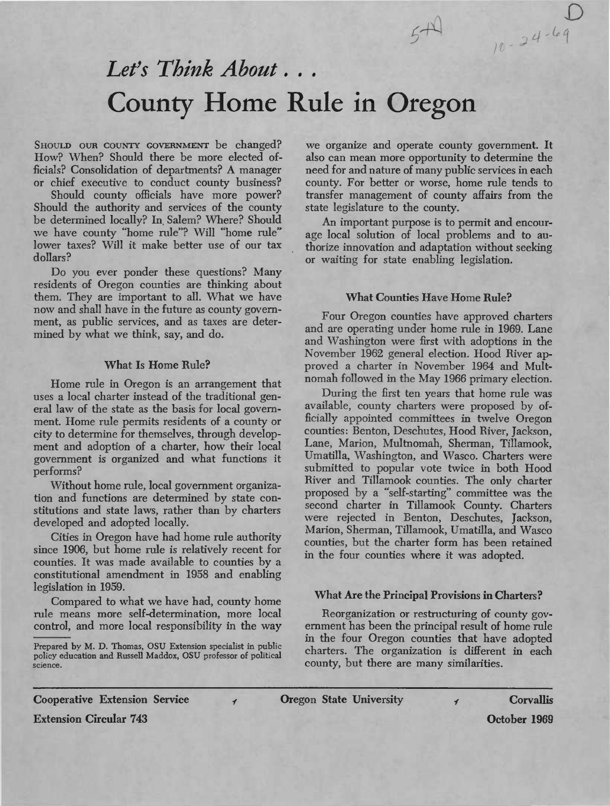# *Let's Think About. . .* County Home Rule in Oregon

SHOULD OUR COUNTY GOVERNMENT be changed? How? When? Should there be more elected officials? Consolidation of departments? A manager or chief executive to conduct county business?

Should county officials have more power? Should the authority and services of the county be determined locally? In, Salem? Where? Should we have county "home rule"? Will "home rule" lower taxes? Will it make better use of our tax dollars?

Do you ever ponder these questions? Many residents of Oregon counties are thinking about them. They are important to all. What we have now and shall have in the future as county government, as public services, and as taxes are determined by what we think, say, and do.

## **What Is Home Rule?**

Home rule in Oregon is an arrangement that uses a local charter instead of the traditional general law of the state as the basis for local government. Home rule permits residents of a county or city to determine for themselves, through development and adoption of a charter, how their local government is organized and what functions it performs?

Without home rule, local government organization and functions are determined by state constitutions and state laws, rather than by charters developed and adopted locally.

Cities in Oregon have had home rule authority since 1906, but home rule is relatively recent for counties. It was made available to counties by a constitutional amendment in 1958 and enabling legislation in 1959.

Compared to what we have had, county home rule means more self-determination, more local control, and more local responsibility in the way

Prepared by M. D. Thomas, OSU Extension specialist in public policy education and Russell Maddox, OSU professor of political

 $\overline{\mathbf{f}}$ 

we organize and operate county government. It also can mean more opportunity to determine the need for and nature of many public services in each county. For better or worse, home rule tends to transfer management of county affairs from the state legislature to the county.

*D*

*<sup>w</sup> :J* **4'H**

An important purpose is to permit and encourage local solution of local problems and to authorize innovation and adaptation without seeking or waiting for state enabling legislation.

## **What Counties Have Home Rule?**

Four Oregon counties have approved charters and are operating under home rule in 1969. Lane and Washington were first with adoptions in the November 1962 general election. Hood River approved a charter in November 1964 and Multnomah followed in the May 1966 primary election.

During the first ten years that home rule was available, county charters were proposed by officially appointed committees in twelve Oregon counties: Benton, Deschutes, Hood River, Jackson, Lane, Marion, Multnomah, Sherman, Tillamook, Umatilla, Washington, and Wasco. Charters were submitted to popular vote twice in both Hood River and Tillamook counties. The only charter proposed by a "self-starting" committee was the second charter in Tillamook County. Charters were rejected in Benton, Deschutes, Jackson, Marion, Sherman, Tillamook, Umatilla, and Wasco counties, but the charter form has been retained in the four counties where it was adopted.

# **What Are the Principal Provisions in Charters?**

Reorganization or restructuring of county government has been the principal result of home rule in the four Oregon counties that have adopted charters. The organization is different in each county, but there are many similarities.

**Cooperative Extension Service**

**Oregon** State University **y Corvallis** 

**Extension Circular 743**

**October 1969**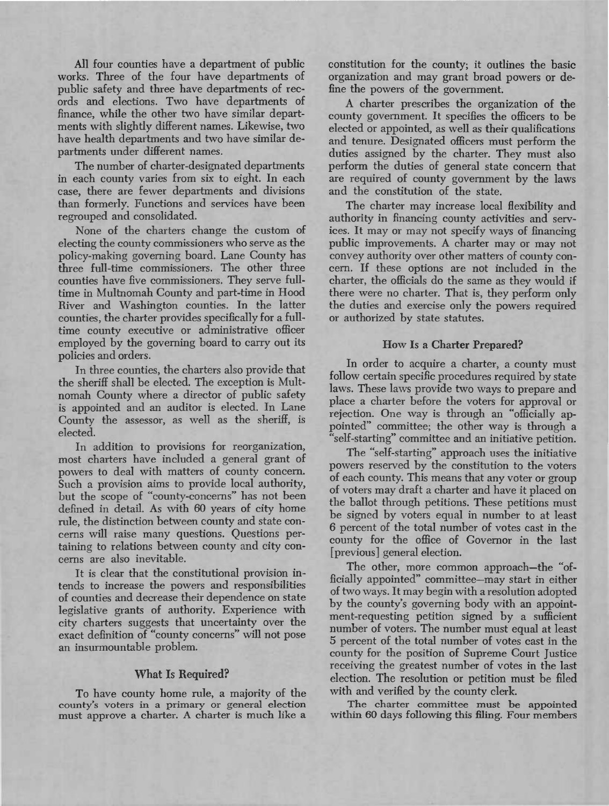All four counties have a department of public works. Three of the four have departments of public safety and three have departments of records and elections. Two have departments of finance, while the other two have similar departments with slightly different names. Likewise, two have health departments and two have similar departments under different names.

The number of charter-designated departments in each county varies from six to eight. In each case, there are fewer departments and divisions than formerly. Functions and services have been regrouped and consolidated.

None of the charters change the custom of electing the county commissioners who serve as the policy-making governing board. Lane County has three full-time commissioners. The other three counties have five commissioners. They serve fulltime in Multnomah County and part-time in Hood River and Washington counties. In the latter counties, the charter provides specifically for a fulltime county executive or administrative officer employed by the governing board to carry out its policies and orders.

In three counties, the charters also provide that the sheriff shall be elected. The exception is Multnomah County where a director of public safety is appointed and an auditor is elected. In Lane County the assessor, as well as the sheriff, is elected.

In addition to provisions for reorganization, most charters have included a general grant of powers to deal with matters of county concern. Such a provision aims to provide local authority, but the scope of "county-concerns" has not been defined in detail. As with 60 years of city home rule, the distinction between county and state concerns will raise many questions. Questions pertaining to relations between county and city concerns are also inevitable.

It is clear that the constitutional provision intends to increase the powers and responsibilities of counties and decrease their dependence on state legislative grants of authority. Experience with city charters suggests that uncertainty over the exact definition of "county concerns" will not pose an insurmountable problem.

### **What Is Required?**

To have county home rule, a majority of the county's voters in a primary or general election must approve a charter. A charter is much like a

constitution for the county; it outlines the basic organization and may grant broad powers or define the powers of the government.

A charter prescribes the organization of the county government. It specifies the officers to be elected or appointed, as well as their qualifications and tenure. Designated officers must perform the duties assigned by the charter. They must also perform the duties of general state concern that are required of county government by the laws and the constitution of the state.

The charter may increase local flexibility and authority in financing county activities and services. It may or may not specify ways of financing public improvements. A charter may or may not convey authority over other matters of county concern. If these options are not included in the charter, the officials do the same as they would if there were no charter. That is, they perform only the duties and exercise only the powers required or authorized by state statutes.

### **How Is a Charter Prepared?**

**In** order to acquire a charter, a county must follow certain specific procedures required by state laws. These laws provide two ways to prepare and place a charter before the voters for approval or rejection. One way is through an "officially appointed" committee; the other way is through a self-starting" committee and an initiative petition.

The "self-starting" approach uses the initiative powers reserved by the constitution to the voters of each county. This means that any voter or group of voters may draft a charter and have it placed on the ballot through petitions. These petitions must be signed by voters equal in number to at least 6 percent of the total number of votes cast in the county for the office of Governor in the last [previous] general election.

The other, more common approach—the "officially appointed" committee—may start in either of two ways. It may begin with a resolution adopted by the county's governing body with an appointment-requesting petition signed by a sufficient number of voters. The number must equal at least 5 percent of the total number of votes cast in the county for the position of Supreme Court Justice receiving the greatest number of votes in the last election. The resolution or petition must be filed with and verified by the county clerk.

The charter committee must be appointed within 60 days following this filing. Four members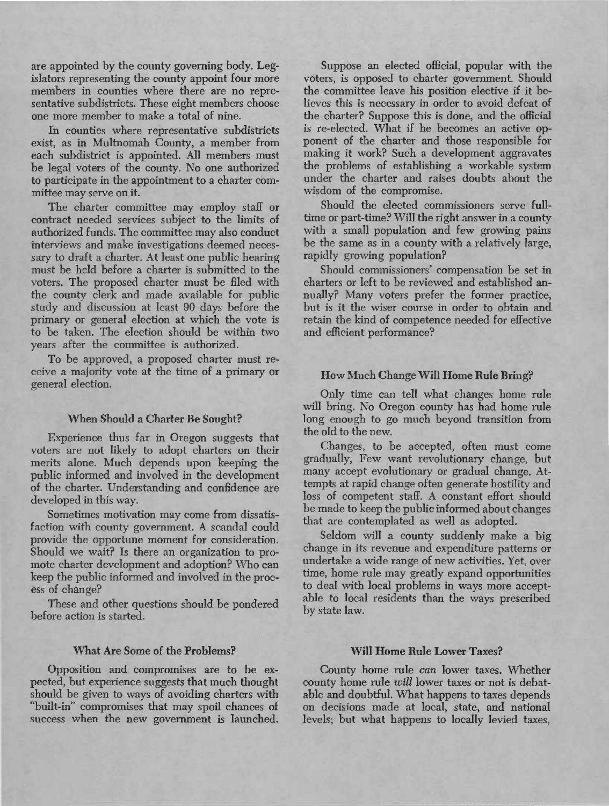are appointed by the county governing body. Legislators representing the county appoint four more members in counties where there are no representative subdistricts. These eight members choose one more member to make a total of nine.

In counties where representative subdistricts exist, as in Multnomah County, a member from each subdistrict is appointed. All members must be legal voters of the county. No one authorized to participate in the appointment to a charter committee may serve on it.

The charter committee may employ staff or contract needed services subject to the limits of authorized funds. The committee may also conduct interviews and make investigations deemed necessary to draft a charter. At least one public hearing must be held before a charter is submitted to the voters. The proposed charter must be filed with the county clerk and made available for public study and discussion at least 90 days before the primary or general election at which the vote is to be taken. The election should be within two years after the committee is authorized.

To be approved, a proposed charter must receive a majority vote at the time of a primary or general election.

# **When Should a Charter Be Sought?**

Experience thus far in Oregon suggests that voters are not likely to adopt charters on their merits alone. Much depends upon keeping the public informed and involved in the development of the charter. Understanding and confidence are developed in this way.

Sometimes motivation may come from dissatisfaction with county government. A scandal could provide the opportune moment for consideration. Should we wait? Is there an organization to promote charter development and adoption? Who can keep the public informed and involved in the process of change?

These and other questions should be pondered before action is started.

#### **What Are Some of the Problems?**

Opposition and compromises are to be expected, but experience suggests that much thought should be given to ways of avoiding charters with "built-in" compromises that may spoil chances of success when the new government is launched.

Suppose an elected official, popular with the voters, is opposed to charter government. Should the committee leave his position elective if it believes this is necessary in order to avoid defeat of the charter? Suppose this is done, and the official is re-elected. What if he becomes an active opponent of the charter and those responsible for making it work? Such a development aggravates the problems of establishing a workable system under the charter and raises doubts about the wisdom of the compromise.

Should the elected commissioners serve fulltime or part-time? Will the right answer in a county with a small population and few growing pains be the same as in a county with a relatively large, rapidly growing population?

Should commissioners' compensation be set in charters or left to be reviewed and established annually? Many voters prefer the former practice, but is it the wiser course in order to obtain and retain the kind of competence needed for effective and efficient performance?

# **How Much Change Will Home Rule Bring?**

Only time can tell what changes home rule will bring. No Oregon county has had home rule long enough to go much beyond transition from the old to the new.

Changes, to be accepted, often must come gradually. Few want revolutionary change, but many accept evolutionary or gradual change. Attempts at rapid change often generate hostility and loss of competent staff. A constant effort should be made to keep the public informed about changes that are contemplated as well as adopted.

Seldom will a county suddenly make a big change in its revenue and expenditure patterns or undertake a wide range of new activities. Yet, over time, home rule may greatly expand opportunities to deal with local problems in ways more acceptable to local residents than the ways prescribed by state law.

## **Will Home Rule Lower Taxes?**

County home rule *can* lower taxes. Whether county home rule *will* lower taxes or not is debatable and doubtful. What happens to taxes depends on decisions made at local, state, and national levels; but what happens to locally levied taxes.